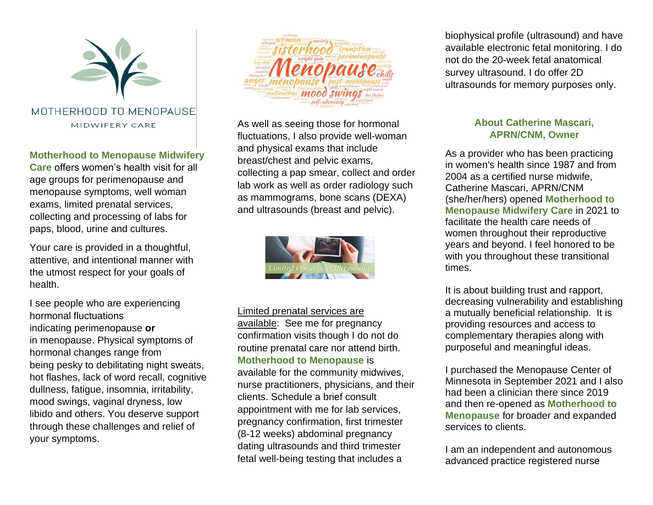

## **Motherhood to Menopause Midwifery**

**Care** offers women's health visit for all age groups for perimenopause and menopause symptoms, well woman exams, limited prenatal services, collecting and processing of labs for paps, blood, urine and cultures.

Your care is provided in a thoughtful, attentive, and intentional manner with the utmost respect for your goals of health.

I see people who are experiencing hormonal fluctuations indicating perimenopause **or**  in menopause. Physical symptoms of hormonal changes range from being pesky to debilitating night sweats, hot flashes, lack of word recall, cognitive dullness, fatigue, insomnia, irritability, mood swings, vaginal dryness, low libido and others. You deserve support through these challenges and relief of your symptoms.



As well as seeing those for hormonal fluctuations, I also provide well-woman and physical exams that include breast/chest and pelvic exams, collecting a pap smear, collect and order lab work as well as order radiology such as mammograms, bone scans (DEXA) and ultrasounds (breast and pelvic).



## Limited prenatal services are

available: See me for pregnancy confirmation visits though I do not do routine prenatal care nor attend birth. **Motherhood to Menopause** is

available for the community midwives, nurse practitioners, physicians, and their clients. Schedule a brief consult appointment with me for lab services, pregnancy confirmation, first trimester (8-12 weeks) abdominal pregnancy dating ultrasounds and third trimester fetal well-being testing that includes a

biophysical profile (ultrasound) and have available electronic fetal monitoring. I do not do the 20-week fetal anatomical survey ultrasound. I do offer 2D ultrasounds for memory purposes only.

## **About Catherine Mascari, APRN/CNM, Owner**

As a provider who has been practicing in women's health since 1987 and from 2004 as a certified nurse midwife, Catherine Mascari, APRN/CNM (she/her/hers) opened **Motherhood to Menopause Midwifery Care** in 2021 to facilitate the health care needs of women throughout their reproductive years and beyond. I feel honored to be with you throughout these transitional times.

It is about building trust and rapport, decreasing vulnerability and establishing a mutually beneficial relationship. It is providing resources and access to complementary therapies along with purposeful and meaningful ideas.

I purchased the Menopause Center of Minnesota in September 2021 and I also had been a clinician there since 2019 and then re-opened as **Motherhood to Menopause** for broader and expanded services to clients.

I am an independent and autonomous advanced practice registered nurse